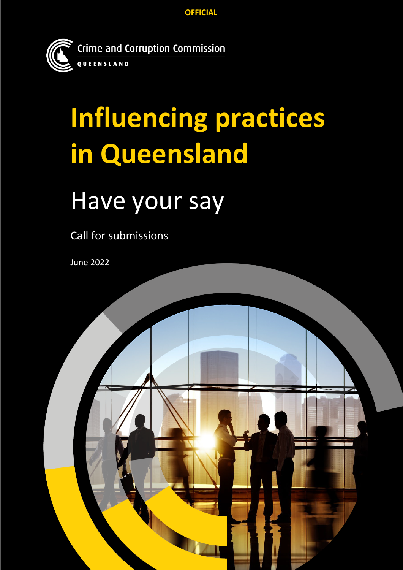**OFFICIAL**



# **Influencing practices in Queensland**

## Have your say

Call for submissions

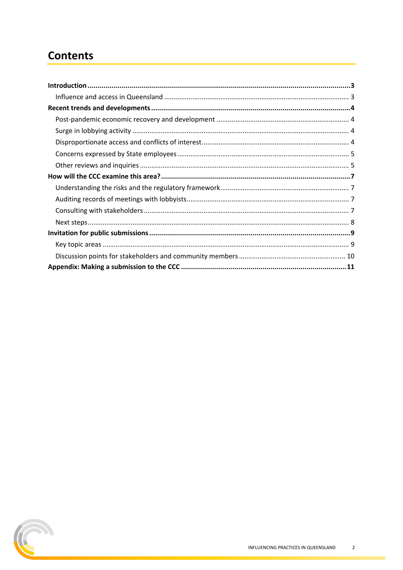#### **Contents**

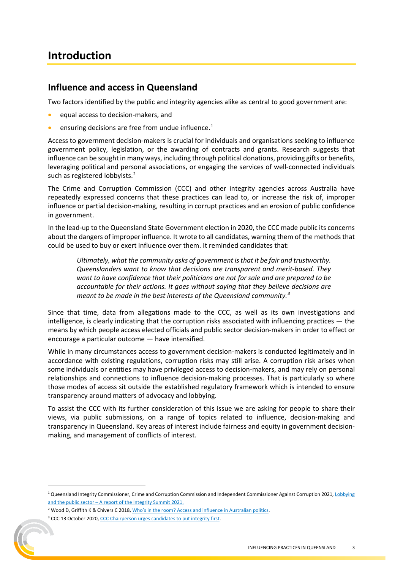#### <span id="page-2-0"></span>**Introduction**

#### <span id="page-2-1"></span>**Influence and access in Queensland**

Two factors identified by the public and integrity agencies alike as central to good government are:

- equal access to decision-makers, and
- ensuring decisions are free from undue influence.<sup>[1](#page-2-2)</sup>

Access to government decision-makers is crucial for individuals and organisations seeking to influence government policy, legislation, or the awarding of contracts and grants. Research suggests that influence can be sought in many ways, including through political donations, providing gifts or benefits, leveraging political and personal associations, or engaging the services of well-connected individuals such as registered lobbyists.<sup>[2](#page-2-3)</sup>

The Crime and Corruption Commission (CCC) and other integrity agencies across Australia have repeatedly expressed concerns that these practices can lead to, or increase the risk of, improper influence or partial decision-making, resulting in corrupt practices and an erosion of public confidence in government.

In the lead-up to the Queensland State Government election in 2020, the CCC made public its concerns about the dangers of improper influence. It wrote to all candidates, warning them of the methods that could be used to buy or exert influence over them. It reminded candidates that:

*Ultimately, what the community asks of government is that it be fair and trustworthy. Queenslanders want to know that decisions are transparent and merit-based. They want to have confidence that their politicians are not for sale and are prepared to be accountable for their actions. It goes without saying that they believe decisions are meant to be made in the best interests of the Queensland community.[3](#page-2-4)*

Since that time, data from allegations made to the CCC, as well as its own investigations and intelligence, is clearly indicating that the corruption risks associated with influencing practices — the means by which people access elected officials and public sector decision-makers in order to effect or encourage a particular outcome — have intensified.

While in many circumstances access to government decision-makers is conducted legitimately and in accordance with existing regulations, corruption risks may still arise. A corruption risk arises when some individuals or entities may have privileged access to decision-makers, and may rely on personal relationships and connections to influence decision-making processes. That is particularly so where those modes of access sit outside the established regulatory framework which is intended to ensure transparency around matters of advocacy and lobbying.

To assist the CCC with its further consideration of this issue we are asking for people to share their views, via public submissions, on a range of topics related to influence, decision-making and transparency in Queensland. Key areas of interest include fairness and equity in government decisionmaking, and management of conflicts of interest.



<span id="page-2-2"></span> $1$  Queensland Integrity Commissioner, Crime and Corruption Commission and Independent Commissioner Against Corruption 2021, Lobbying and the public sector - A report of the Integrity Summit 2021.

<span id="page-2-3"></span><sup>&</sup>lt;sup>2</sup> Wood D, Griffith K & Chivers C 2018, Who's in the room? Access and influence in Australian politics.

<span id="page-2-4"></span><sup>&</sup>lt;sup>3</sup> CCC 13 October 2020, CCC Chairperson urges candidates to put integrity first.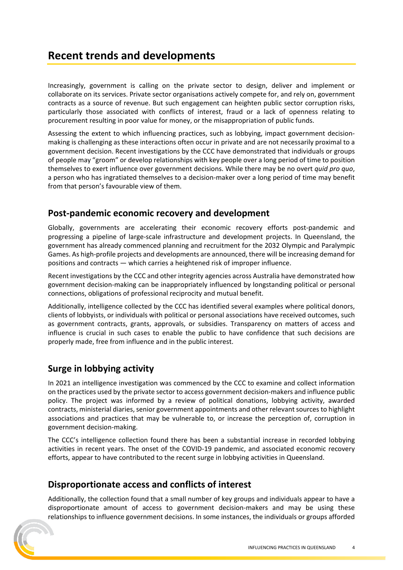#### <span id="page-3-0"></span>**Recent trends and developments**

Increasingly, government is calling on the private sector to design, deliver and implement or collaborate on its services. Private sector organisations actively compete for, and rely on, government contracts as a source of revenue. But such engagement can heighten public sector corruption risks, particularly those associated with conflicts of interest, fraud or a lack of openness relating to procurement resulting in poor value for money, or the misappropriation of public funds.

Assessing the extent to which influencing practices, such as lobbying, impact government decisionmaking is challenging as these interactions often occur in private and are not necessarily proximal to a government decision. Recent investigations by the CCC have demonstrated that individuals or groups of people may "groom" or develop relationships with key people over a long period of time to position themselves to exert influence over government decisions. While there may be no overt *quid pro quo*, a person who has ingratiated themselves to a decision-maker over a long period of time may benefit from that person's favourable view of them.

#### <span id="page-3-1"></span>**Post-pandemic economic recovery and development**

Globally, governments are accelerating their economic recovery efforts post-pandemic and progressing a pipeline of large-scale infrastructure and development projects. In Queensland, the government has already commenced planning and recruitment for the 2032 Olympic and Paralympic Games. As high-profile projects and developments are announced, there will be increasing demand for positions and contracts — which carries a heightened risk of improper influence.

Recent investigations by the CCC and other integrity agencies across Australia have demonstrated how government decision-making can be inappropriately influenced by longstanding political or personal connections, obligations of professional reciprocity and mutual benefit.

Additionally, intelligence collected by the CCC has identified several examples where political donors, clients of lobbyists, or individuals with political or personal associations have received outcomes, such as government contracts, grants, approvals, or subsidies. Transparency on matters of access and influence is crucial in such cases to enable the public to have confidence that such decisions are properly made, free from influence and in the public interest.

#### <span id="page-3-2"></span>**Surge in lobbying activity**

In 2021 an intelligence investigation was commenced by the CCC to examine and collect information on the practices used by the private sector to access government decision-makers and influence public policy. The project was informed by a review of political donations, lobbying activity, awarded contracts, ministerial diaries, senior government appointments and other relevant sources to highlight associations and practices that may be vulnerable to, or increase the perception of, corruption in government decision-making.

The CCC's intelligence collection found there has been a substantial increase in recorded lobbying activities in recent years. The onset of the COVID-19 pandemic, and associated economic recovery efforts, appear to have contributed to the recent surge in lobbying activities in Queensland.

#### <span id="page-3-3"></span>**Disproportionate access and conflicts of interest**

Additionally, the collection found that a small number of key groups and individuals appear to have a disproportionate amount of access to government decision-makers and may be using these relationships to influence government decisions. In some instances, the individuals or groups afforded

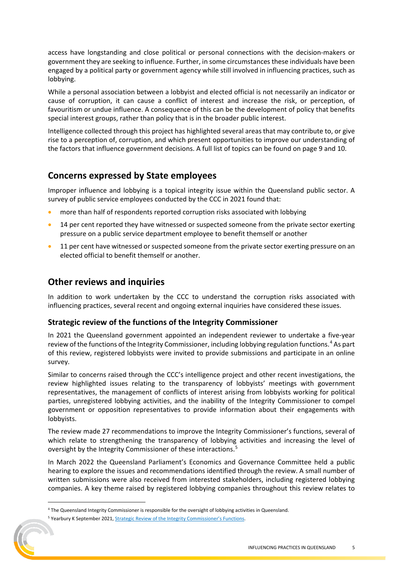access have longstanding and close political or personal connections with the decision-makers or government they are seeking to influence. Further, in some circumstances these individuals have been engaged by a political party or government agency while still involved in influencing practices, such as lobbying.

While a personal association between a lobbyist and elected official is not necessarily an indicator or cause of corruption, it can cause a conflict of interest and increase the risk, or perception, of favouritism or undue influence. A consequence of this can be the development of policy that benefits special interest groups, rather than policy that is in the broader public interest.

Intelligence collected through this project has highlighted several areas that may contribute to, or give rise to a perception of, corruption, and which present opportunities to improve our understanding of the factors that influence government decisions. A full list of topics can be found on page 9 and 10.

#### <span id="page-4-0"></span>**Concerns expressed by State employees**

Improper influence and lobbying is a topical integrity issue within the Queensland public sector. A survey of public service employees conducted by the CCC in 2021 found that:

- more than half of respondents reported corruption risks associated with lobbying
- 14 per cent reported they have witnessed or suspected someone from the private sector exerting pressure on a public service department employee to benefit themself or another
- <span id="page-4-1"></span>11 per cent have witnessed or suspected someone from the private sector exerting pressure on an elected official to benefit themself or another.

#### **Other reviews and inquiries**

In addition to work undertaken by the CCC to understand the corruption risks associated with influencing practices, several recent and ongoing external inquiries have considered these issues.

#### **Strategic review of the functions of the Integrity Commissioner**

In 2021 the Queensland government appointed an independent reviewer to undertake a five-year review of the functions of the Integrity Commissioner, including lobbying regulation functions.<sup>[4](#page-4-2)</sup> As part of this review, registered lobbyists were invited to provide submissions and participate in an online survey.

Similar to concerns raised through the CCC's intelligence project and other recent investigations, the review highlighted issues relating to the transparency of lobbyists' meetings with government representatives, the management of conflicts of interest arising from lobbyists working for political parties, unregistered lobbying activities, and the inability of the Integrity Commissioner to compel government or opposition representatives to provide information about their engagements with lobbyists.

The review made 27 recommendations to improve the Integrity Commissioner's functions, several of which relate to strengthening the transparency of lobbying activities and increasing the level of oversight by the Integrity Commissioner of these interactions.<sup>[5](#page-4-3)</sup>

In March 2022 the Queensland Parliament's Economics and Governance Committee held a public hearing to explore the issues and recommendations identified through the review. A small number of written submissions were also received from interested stakeholders, including registered lobbying companies. A key theme raised by registered lobbying companies throughout this review relates to

<span id="page-4-2"></span><sup>4</sup> The Queensland Integrity Commissioner is responsible for the oversight of lobbying activities in Queensland.

<span id="page-4-3"></span><sup>&</sup>lt;sup>5</sup> Yearbury K September 2021[, Strategic Review of the Integrity Commissioner's Functions.](https://documents.parliament.qld.gov.au/tableoffice/tabledpapers/2021/5721T1755.pdf)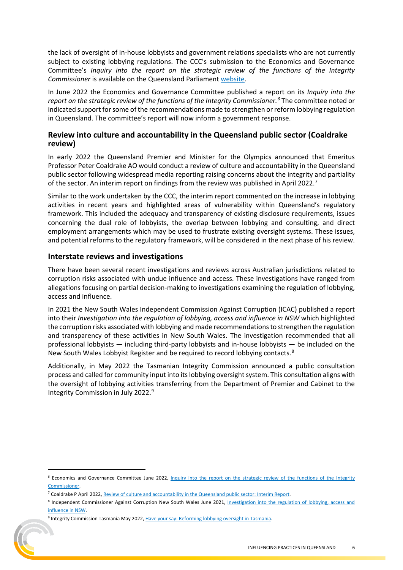the lack of oversight of in-house lobbyists and government relations specialists who are not currently subject to existing lobbying regulations. The CCC's submission to the Economics and Governance Committee's *Inquiry into the report on the strategic review of the functions of the Integrity Commissioner* is available on the Queensland Parliament [website.](https://www.parliament.qld.gov.au/Work-of-Committees/Committees/Committee-Details?cid=167&id=4124)

In June 2022 the Economics and Governance Committee published a report on its *Inquiry into the report on the strategic review of the functions of the Integrity Commissioner.[6](#page-5-0)* The committee noted or indicated support forsome of the recommendations made to strengthen or reform lobbying regulation in Queensland. The committee's report will now inform a government response.

#### **Review into culture and accountability in the Queensland public sector (Coaldrake review)**

In early 2022 the Queensland Premier and Minister for the Olympics announced that Emeritus Professor Peter Coaldrake AO would conduct a review of culture and accountability in the Queensland public sector following widespread media reporting raising concerns about the integrity and partiality of the sector. An interim report on findings from the review was published in April 2022.<sup>[7](#page-5-1)</sup>

Similar to the work undertaken by the CCC, the interim report commented on the increase in lobbying activities in recent years and highlighted areas of vulnerability within Queensland's regulatory framework. This included the adequacy and transparency of existing disclosure requirements, issues concerning the dual role of lobbyists, the overlap between lobbying and consulting, and direct employment arrangements which may be used to frustrate existing oversight systems. These issues, and potential reforms to the regulatory framework, will be considered in the next phase of his review.

#### **Interstate reviews and investigations**

There have been several recent investigations and reviews across Australian jurisdictions related to corruption risks associated with undue influence and access. These investigations have ranged from allegations focusing on partial decision-making to investigations examining the regulation of lobbying, access and influence.

In 2021 the New South Wales Independent Commission Against Corruption (ICAC) published a report into their *Investigation into the regulation of lobbying, access and influence in NSW* which highlighted the corruption risks associated with lobbying and made recommendations to strengthen the regulation and transparency of these activities in New South Wales. The investigation recommended that all professional lobbyists — including third-party lobbyists and in-house lobbyists — be included on the New South Wales Lobbyist Register and be required to record lobbying contacts.<sup>[8](#page-5-2)</sup>

Additionally, in May 2022 the Tasmanian Integrity Commission announced a public consultation process and called for community input into its lobbying oversight system. This consultation aligns with the oversight of lobbying activities transferring from the Department of Premier and Cabinet to the Integrity Commission in July 2022.[9](#page-5-3)

<span id="page-5-3"></span><sup>9</sup> Integrity Commission Tasmania May 2022, Have your say: Reforming lobbying oversight in Tasmania.



<span id="page-5-0"></span><sup>&</sup>lt;sup>6</sup> Economics and Governance Committee June 2022, Inquiry into the report on the strategic review of the functions of the Integrity [Commissioner.](https://documents.parliament.qld.gov.au/tableoffice/tabledpapers/2022/5722T741-E9B1.pdf) 

<sup>7</sup> Coaldrake P April 2022[, Review of culture and accountability in the Queensland public sector: Interim Report.](https://www.coaldrakereview.qld.gov.au/assets/custom/docs/coaldrake-review-interim-report-21-april-2022.pdf) 

<span id="page-5-2"></span><span id="page-5-1"></span><sup>8</sup> Independent Commissioner Against Corruption New South Wales June 2021, Investigation into the regulation of lobbying, access and [influence in NSW.](https://www.icac.nsw.gov.au/media-centre/media-releases/2021-media-releases/icac-recommends-significant-reform-to-lobbying-legislation-including-banning-secret-meetings-between-lobbyists-and-government-officials#:%7E:text=In%20a%20report%20released%20today,the%20public%20interest%20against%20the)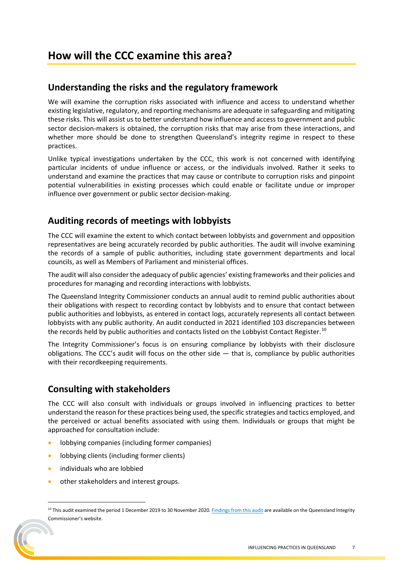#### <span id="page-6-1"></span><span id="page-6-0"></span>**Understanding the risks and the regulatory framework**

We will examine the corruption risks associated with influence and access to understand whether existing legislative, regulatory, and reporting mechanisms are adequate in safeguarding and mitigating these risks. This will assist us to better understand how influence and access to government and public sector decision-makers is obtained, the corruption risks that may arise from these interactions, and whether more should be done to strengthen Queensland's integrity regime in respect to these practices.

Unlike typical investigations undertaken by the CCC, this work is not concerned with identifying particular incidents of undue influence or access, or the individuals involved. Rather it seeks to understand and examine the practices that may cause or contribute to corruption risks and pinpoint potential vulnerabilities in existing processes which could enable or facilitate undue or improper influence over government or public sector decision-making.

#### <span id="page-6-2"></span>**Auditing records of meetings with lobbyists**

The CCC will examine the extent to which contact between lobbyists and government and opposition representatives are being accurately recorded by public authorities. The audit will involve examining the records of a sample of public authorities, including state government departments and local councils, as well as Members of Parliament and ministerial offices.

The audit will also consider the adequacy of public agencies' existing frameworks and their policies and procedures for managing and recording interactions with lobbyists.

The Queensland Integrity Commissioner conducts an annual audit to remind public authorities about their obligations with respect to recording contact by lobbyists and to ensure that contact between public authorities and lobbyists, as entered in contact logs, accurately represents all contact between lobbyists with any public authority. An audit conducted in 2021 identified 103 discrepancies between the records held by public authorities and contacts listed on the Lobbyist Contact Register.<sup>[10](#page-6-4)</sup>

The Integrity Commissioner's focus is on ensuring compliance by lobbyists with their disclosure obligations. The CCC's audit will focus on the other side — that is, compliance by public authorities with their recordkeeping requirements.

#### <span id="page-6-3"></span>**Consulting with stakeholders**

The CCC will also consult with individuals or groups involved in influencing practices to better understand the reason for these practices being used, the specific strategies and tactics employed, and the perceived or actual benefits associated with using them. Individuals or groups that might be approached for consultation include:

- lobbying companies (including former companies)
- lobbying clients (including former clients)
- individuals who are lobbied
- other stakeholders and interest groups.

<span id="page-6-4"></span><sup>&</sup>lt;sup>10</sup> This audit examined the period 1 December 2019 to 30 November 2020[. Findings from this audit](https://www.integrity.qld.gov.au/assets/document/catalogue/media-releases/qic-findings-from-annual-lobbying-audit-2021.pdf) are available on the Queensland Integrity Commissioner's website.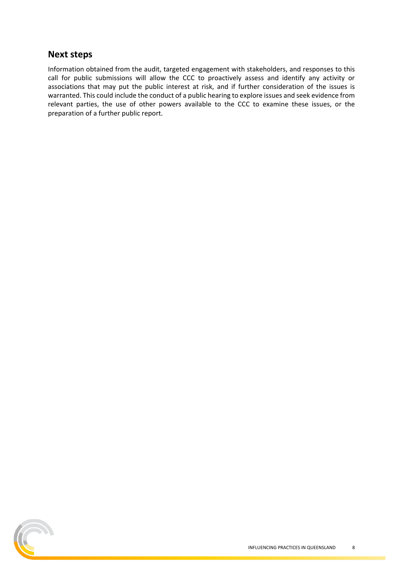#### <span id="page-7-0"></span>**Next steps**

Information obtained from the audit, targeted engagement with stakeholders, and responses to this call for public submissions will allow the CCC to proactively assess and identify any activity or associations that may put the public interest at risk, and if further consideration of the issues is warranted. This could include the conduct of a public hearing to explore issues and seek evidence from relevant parties, the use of other powers available to the CCC to examine these issues, or the preparation of a further public report.

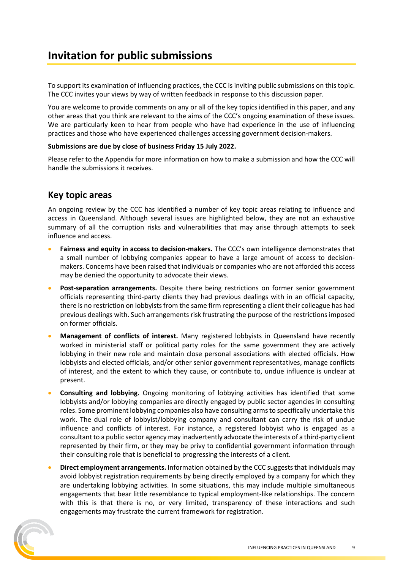#### <span id="page-8-0"></span>**Invitation for public submissions**

To support its examination of influencing practices, the CCC is inviting public submissions on this topic. The CCC invites your views by way of written feedback in response to this discussion paper.

You are welcome to provide comments on any or all of the key topics identified in this paper, and any other areas that you think are relevant to the aims of the CCC's ongoing examination of these issues. We are particularly keen to hear from people who have had experience in the use of influencing practices and those who have experienced challenges accessing government decision-makers.

#### **Submissions are due by close of business Friday 15 July 2022.**

<span id="page-8-1"></span>Please refer to the Appendix for more information on how to make a submission and how the CCC will handle the submissions it receives.

#### **Key topic areas**

An ongoing review by the CCC has identified a number of key topic areas relating to influence and access in Queensland. Although several issues are highlighted below, they are not an exhaustive summary of all the corruption risks and vulnerabilities that may arise through attempts to seek influence and access.

- **Fairness and equity in access to decision-makers.** The CCC's own intelligence demonstrates that a small number of lobbying companies appear to have a large amount of access to decisionmakers. Concerns have been raised that individuals or companies who are not afforded this access may be denied the opportunity to advocate their views.
- **Post-separation arrangements.** Despite there being restrictions on former senior government officials representing third-party clients they had previous dealings with in an official capacity, there is no restriction on lobbyists from the same firm representing a client their colleague has had previous dealings with. Such arrangements risk frustrating the purpose of the restrictions imposed on former officials.
- **Management of conflicts of interest.** Many registered lobbyists in Queensland have recently worked in ministerial staff or political party roles for the same government they are actively lobbying in their new role and maintain close personal associations with elected officials. How lobbyists and elected officials, and/or other senior government representatives, manage conflicts of interest, and the extent to which they cause, or contribute to, undue influence is unclear at present.
- **Consulting and lobbying.** Ongoing monitoring of lobbying activities has identified that some lobbyists and/or lobbying companies are directly engaged by public sector agencies in consulting roles. Some prominent lobbying companies also have consulting arms to specifically undertake this work. The dual role of lobbyist/lobbying company and consultant can carry the risk of undue influence and conflicts of interest. For instance, a registered lobbyist who is engaged as a consultant to a public sector agency may inadvertently advocate the interests of a third-party client represented by their firm, or they may be privy to confidential government information through their consulting role that is beneficial to progressing the interests of a client.
- **Direct employment arrangements.** Information obtained by the CCC suggests that individuals may avoid lobbyist registration requirements by being directly employed by a company for which they are undertaking lobbying activities. In some situations, this may include multiple simultaneous engagements that bear little resemblance to typical employment-like relationships. The concern with this is that there is no, or very limited, transparency of these interactions and such engagements may frustrate the current framework for registration.

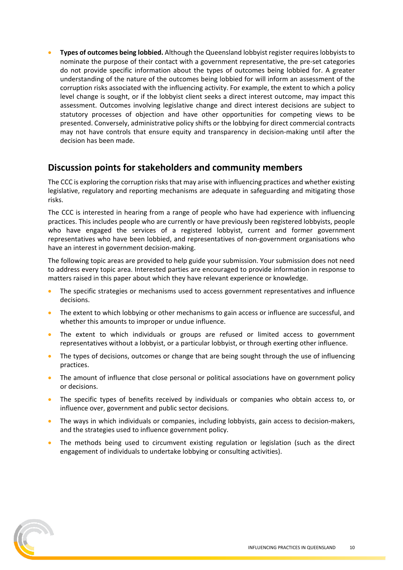• **Types of outcomes being lobbied.** Although the Queensland lobbyist register requires lobbyists to nominate the purpose of their contact with a government representative, the pre-set categories do not provide specific information about the types of outcomes being lobbied for. A greater understanding of the nature of the outcomes being lobbied for will inform an assessment of the corruption risks associated with the influencing activity. For example, the extent to which a policy level change is sought, or if the lobbyist client seeks a direct interest outcome, may impact this assessment. Outcomes involving legislative change and direct interest decisions are subject to statutory processes of objection and have other opportunities for competing views to be presented. Conversely, administrative policy shifts or the lobbying for direct commercial contracts may not have controls that ensure equity and transparency in decision-making until after the decision has been made.

#### <span id="page-9-0"></span>**Discussion points for stakeholders and community members**

The CCC is exploring the corruption risks that may arise with influencing practices and whether existing legislative, regulatory and reporting mechanisms are adequate in safeguarding and mitigating those risks.

The CCC is interested in hearing from a range of people who have had experience with influencing practices. This includes people who are currently or have previously been registered lobbyists, people who have engaged the services of a registered lobbyist, current and former government representatives who have been lobbied, and representatives of non-government organisations who have an interest in government decision-making.

The following topic areas are provided to help guide your submission. Your submission does not need to address every topic area. Interested parties are encouraged to provide information in response to matters raised in this paper about which they have relevant experience or knowledge.

- The specific strategies or mechanisms used to access government representatives and influence decisions.
- The extent to which lobbying or other mechanisms to gain access or influence are successful, and whether this amounts to improper or undue influence.
- The extent to which individuals or groups are refused or limited access to government representatives without a lobbyist, or a particular lobbyist, or through exerting other influence.
- The types of decisions, outcomes or change that are being sought through the use of influencing practices.
- The amount of influence that close personal or political associations have on government policy or decisions.
- The specific types of benefits received by individuals or companies who obtain access to, or influence over, government and public sector decisions.
- The ways in which individuals or companies, including lobbyists, gain access to decision-makers, and the strategies used to influence government policy.
- The methods being used to circumvent existing regulation or legislation (such as the direct engagement of individuals to undertake lobbying or consulting activities).

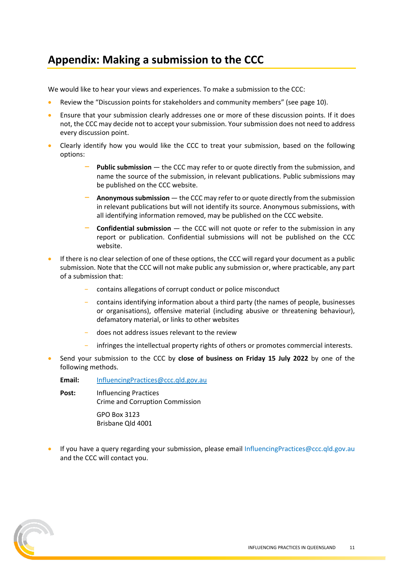### <span id="page-10-0"></span>**Appendix: Making a submission to the CCC**

We would like to hear your views and experiences. To make a submission to the CCC:

- Review the "Discussion points for stakeholders and community members" (see page 10).
- Ensure that your submission clearly addresses one or more of these discussion points. If it does not, the CCC may decide not to accept your submission. Your submission does not need to address every discussion point.
- Clearly identify how you would like the CCC to treat your submission, based on the following options:
	- **Public submission** the CCC may refer to or quote directly from the submission, and name the source of the submission, in relevant publications. Public submissions may be published on the CCC website.
	- − **Anonymous submission** the CCC may refer to or quote directly from the submission in relevant publications but will not identify its source. Anonymous submissions, with all identifying information removed, may be published on the CCC website.
	- − **Confidential submission** the CCC will not quote or refer to the submission in any report or publication. Confidential submissions will not be published on the CCC website.
- If there is no clear selection of one of these options, the CCC will regard your document as a public submission. Note that the CCC will not make public any submission or, where practicable, any part of a submission that:
	- contains allegations of corrupt conduct or police misconduct
	- − contains identifying information about a third party (the names of people, businesses or organisations), offensive material (including abusive or threatening behaviour), defamatory material, or links to other websites
	- − does not address issues relevant to the review
	- infringes the intellectual property rights of others or promotes commercial interests.
- Send your submission to the CCC by **close of business on Friday 15 July 2022** by one of the following methods.
	- **Email:** [InfluencingPractices@ccc.qld.gov.au](mailto:InfluencingPractices@ccc.qld.gov.au)
	- **Post:** Influencing Practices Crime and Corruption Commission

GPO Box 3123 Brisbane Qld 4001

If you have a query regarding your submission, please email InfluencingPractices@ccc.qld.gov.au and the CCC will contact you.